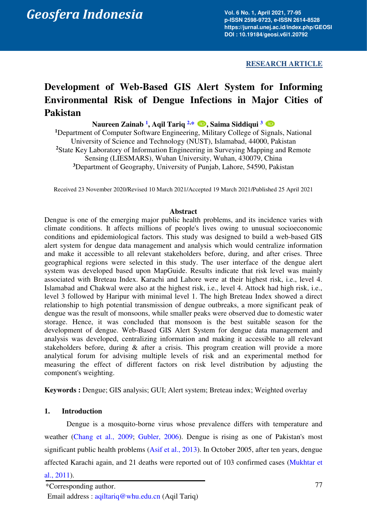*Geosfera Indonesia* 

**Vol. 6 No. 1, April 2021, 77-95 p-ISSN 2598-9723, e-ISSN 2614-8528 https://jurnal.unej.ac.id/index.php/GEOSI DOI : 10.19184/geosi.v6i1.20792** 

**RESEARCH ARTICLE** 

# **Development of Web-Based GIS Alert System for Informing Environmental Risk of Dengue Infections in Major Cities of Pakistan**

**Naureen Zainab [1](#page-0-0) , Aqil Tariq [2,](#page-0-1)[\\*](#page-0-2) , Saima Siddiqui [3](#page-0-3)** 

<span id="page-0-1"></span><span id="page-0-0"></span>**<sup>1</sup>**Department of Computer Software Engineering, Military College of Signals, National University of Science and Technology (NUST), Islamabad, 44000, Pakistan **<sup>2</sup>**State Key Laboratory of Information Engineering in Surveying Mapping and Remote Sensing (LIESMARS), Wuhan University, Wuhan, 430079, China **<sup>3</sup>**Department of Geography, University of Punjab, Lahore, 54590, Pakistan

<span id="page-0-3"></span>Received 23 November 2020/Revised 10 March 2021/Accepted 19 March 2021/Published 25 April 2021

#### **Abstract**

Dengue is one of the emerging major public health problems, and its incidence varies with climate conditions. It affects millions of people's lives owing to unusual socioeconomic conditions and epidemiological factors. This study was designed to build a web-based GIS alert system for dengue data management and analysis which would centralize information and make it accessible to all relevant stakeholders before, during, and after crises. Three geographical regions were selected in this study. The user interface of the dengue alert system was developed based upon MapGuide. Results indicate that risk level was mainly associated with Breteau Index. Karachi and Lahore were at their highest risk, i.e., level 4. Islamabad and Chakwal were also at the highest risk, i.e., level 4. Attock had high risk, i.e., level 3 followed by Haripur with minimal level 1. The high Breteau Index showed a direct relationship to high potential transmission of dengue outbreaks, a more significant peak of dengue was the result of monsoons, while smaller peaks were observed due to domestic water storage. Hence, it was concluded that monsoon is the best suitable season for the development of dengue. Web-Based GIS Alert System for dengue data management and analysis was developed, centralizing information and making it accessible to all relevant stakeholders before, during & after a crisis. This program creation will provide a more analytical forum for advising multiple levels of risk and an experimental method for measuring the effect of different factors on risk level distribution by adjusting the component's weighting.

**Keywords :** Dengue; GIS analysis; GUI; Alert system; Breteau index; Weighted overlay

## **1. Introduction**

Dengue is a mosquito-borne virus whose prevalence differs with temperature and weather [\(Chang et al., 2009;](#page-16-0) [Gubler, 2006\)](#page-17-0). Dengue is rising as one of Pakistan's most significant public health problems [\(Asif et al., 2013\)](#page-16-1). In October 2005, after ten years, dengue affected Karachi again, and 21 deaths were reported out of 103 confirmed cases [\(Mukhtar et](#page-17-1) 

<span id="page-0-2"></span>[al., 2011\)](#page-17-1).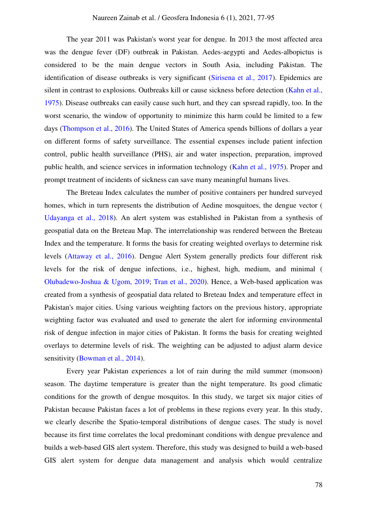The year 2011 was Pakistan's worst year for dengue. In 2013 the most affected area was the dengue fever (DF) outbreak in Pakistan. Aedes-aegypti and Aedes-albopictus is considered to be the main dengue vectors in South Asia, including Pakistan. The identification of disease outbreaks is very significant [\(Sirisena et al., 2017\)](#page-17-2). Epidemics are silent in contrast to explosions. Outbreaks kill or cause sickness before detection [\(Kahn et al.,](#page-17-3)  [1975\)](#page-17-3). Disease outbreaks can easily cause such hurt, and they can spsread rapidly, too. In the worst scenario, the window of opportunity to minimize this harm could be limited to a few days [\(Thompson et al., 2016\)](#page-18-0). The United States of America spends billions of dollars a year on different forms of safety surveillance. The essential expenses include patient infection control, public health surveillance (PHS), air and water inspection, preparation, improved public health, and science services in information technology [\(Kahn et al., 1975\)](#page-17-3). Proper and prompt treatment of incidents of sickness can save many meaningful humans lives.

The Breteau Index calculates the number of positive containers per hundred surveyed homes, which in turn represents the distribution of Aedine mosquitoes, the dengue vector ( [Udayanga et al., 2018\)](#page-18-1). An alert system was established in Pakistan from a synthesis of geospatial data on the Breteau Map. The interrelationship was rendered between the Breteau Index and the temperature. It forms the basis for creating weighted overlays to determine risk levels [\(Attaway et al., 2016\)](#page-16-2). Dengue Alert System generally predicts four different risk levels for the risk of dengue infections, i.e., highest, high, medium, and minimal ( [Olubadewo-Joshua & Ugom, 2019;](#page-17-4) [Tran et al., 2020\)](#page-18-2). Hence, a Web-based application was created from a synthesis of geospatial data related to Breteau Index and temperature effect in Pakistan's major cities. Using various weighting factors on the previous history, appropriate weighting factor was evaluated and used to generate the alert for informing environmental risk of dengue infection in major cities of Pakistan. It forms the basis for creating weighted overlays to determine levels of risk. The weighting can be adjusted to adjust alarm device sensitivity [\(Bowman et al., 2014\)](#page-16-3).

Every year Pakistan experiences a lot of rain during the mild summer (monsoon) season. The daytime temperature is greater than the night temperature. Its good climatic conditions for the growth of dengue mosquitos. In this study, we target six major cities of Pakistan because Pakistan faces a lot of problems in these regions every year. In this study, we clearly describe the Spatio-temporal distributions of dengue cases. The study is novel because its first time correlates the local predominant conditions with dengue prevalence and builds a web-based GIS alert system. Therefore, this study was designed to build a web-based GIS alert system for dengue data management and analysis which would centralize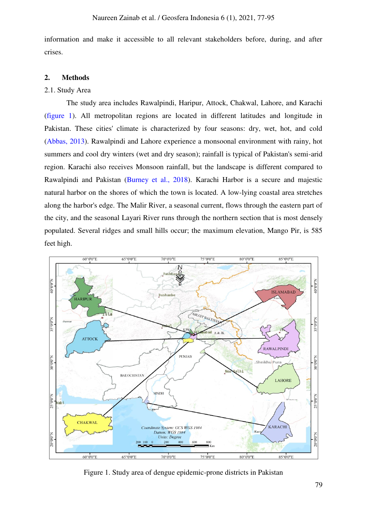information and make it accessible to all relevant stakeholders before, during, and after crises.

#### **2. Methods**

#### 2.1. Study Area

The study area includes Rawalpindi, Haripur, Attock, Chakwal, Lahore, and Karachi [\(figure 1\)](#page-2-0). All metropolitan regions are located in different latitudes and longitude in Pakistan. These cities' climate is characterized by four seasons: dry, wet, hot, and cold [\(Abbas, 2013\)](#page-16-4). Rawalpindi and Lahore experience a monsoonal environment with rainy, hot summers and cool dry winters (wet and dry season); rainfall is typical of Pakistan's semi-arid region. Karachi also receives Monsoon rainfall, but the landscape is different compared to Rawalpindi and Pakistan [\(Burney et al., 2018\)](#page-17-5). Karachi Harbor is a secure and majestic natural harbor on the shores of which the town is located. A low-lying coastal area stretches along the harbor's edge. The Malir River, a seasonal current, flows through the eastern part of the city, and the seasonal Layari River runs through the northern section that is most densely populated. Several ridges and small hills occur; the maximum elevation, Mango Pir, is 585 feet high.



<span id="page-2-0"></span>Figure 1. Study area of dengue epidemic-prone districts in Pakistan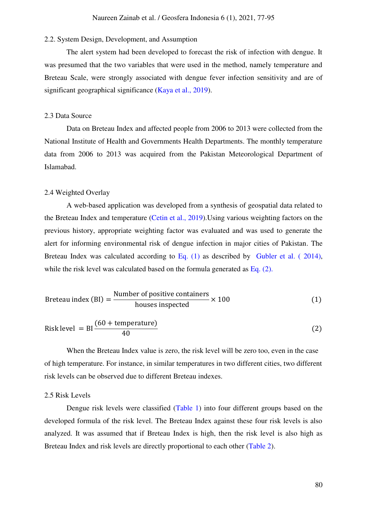## 2.2. System Design, Development, and Assumption

The alert system had been developed to forecast the risk of infection with dengue. It was presumed that the two variables that were used in the method, namely temperature and Breteau Scale, were strongly associated with dengue fever infection sensitivity and are of significant geographical significance [\(Kaya et al., 2019\)](#page-17-6).

#### 2.3 Data Source

Data on Breteau Index and affected people from 2006 to 2013 were collected from the National Institute of Health and Governments Health Departments. The monthly temperature data from 2006 to 2013 was acquired from the Pakistan Meteorological Department of Islamabad.

#### 2.4 Weighted Overlay

<span id="page-3-0"></span>A web-based application was developed from a synthesis of geospatial data related to the Breteau Index and temperature [\(Cetin et al., 2019\)](#page-3-0).Using various weighting factors on the previous history, appropriate weighting factor was evaluated and was used to generate the alert for informing environmental risk of dengue infection in major cities of Pakistan. The Breteau Index was calculated according to Eq. (1) as described by Gubler et al. (2014), while the risk level was calculated based on the formula generated as Eq. (2).

$$
Breteau index (BI) = \frac{Number of positive containers}{houses inspected} \times 100
$$
 (1)

Risk level = 
$$
BI \frac{(60 + temperature)}{40}
$$
 (2)

When the Breteau Index value is zero, the risk level will be zero too, even in the case of high temperature. For instance, in similar temperatures in two different cities, two different risk levels can be observed due to different Breteau indexes.

#### 2.5 Risk Levels

Dengue risk levels were classified [\(Table 1\)](#page-4-0) into four different groups based on the developed formula of the risk level. The Breteau Index against these four risk levels is also analyzed. It was assumed that if Breteau Index is high, then the risk level is also high as Breteau Index and risk levels are directly proportional to each other [\(Table 2\)](#page-4-1).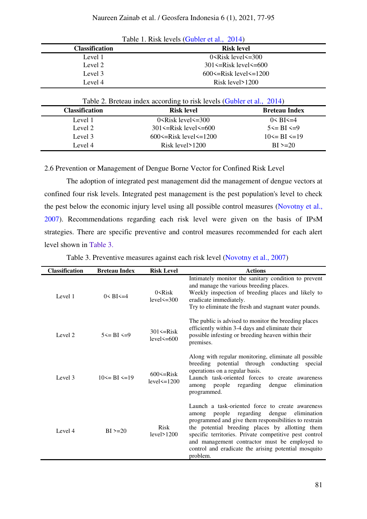<span id="page-4-0"></span>

| $1400$ L, KISK IC VCIS (OUDICI CU, $2017$ ) |                                   |  |  |  |  |  |  |
|---------------------------------------------|-----------------------------------|--|--|--|--|--|--|
| <b>Classification</b>                       | <b>Risk level</b>                 |  |  |  |  |  |  |
| Level 1                                     | $0 \leq$ Risk level $\leq$ =300   |  |  |  |  |  |  |
| Level 2                                     | $301 \leq$ Risk level $\leq$ =600 |  |  |  |  |  |  |
| Level 3                                     | 600 $\le$ =Risk level $\le$ =1200 |  |  |  |  |  |  |
| Level 4                                     | Risk level $>1200$                |  |  |  |  |  |  |

| Table 1. Risk levels (Gubler et al., 2014) |  |  |  |  |  |
|--------------------------------------------|--|--|--|--|--|
|--------------------------------------------|--|--|--|--|--|

|  |  |  |  | Table 2. Breteau index according to risk levels (Gubler et al., 2014) |  |  |  |  |  |  |
|--|--|--|--|-----------------------------------------------------------------------|--|--|--|--|--|--|
|--|--|--|--|-----------------------------------------------------------------------|--|--|--|--|--|--|

<span id="page-4-1"></span>

| <b>Classification</b> | <b>Risk level</b>                 | <b>Breteau Index</b>    |
|-----------------------|-----------------------------------|-------------------------|
| Level 1               | $0 \leq$ Risk level $\leq$ =300   | $0 < B$ I $\leq=4$      |
| Level 2               | $301 \leq$ Risk level $\leq 600$  | $5 \leq R1 \leq 9$      |
| Level 3               | $600 \le$ =Risk level $\le$ =1200 | $10 \leq B$ I $\leq 19$ |
| Level 4               | Risk level>1200                   | $\rm BI > = 20$         |

2.6 Prevention or Management of Dengue Borne Vector for Confined Risk Level

The adoption of integrated pest management did the management of dengue vectors at confined four risk levels. Integrated pest management is the pest population's level to check the pest below the economic injury level using all possible control measures [\(Novotny et al.,](#page-17-8)  [2007\).](#page-17-8) Recommendations regarding each risk level were given on the basis of IPsM strategies. There are specific preventive and control measures recommended for each alert level shown in Table 3.

| <b>Classification</b> | <b>Breteau Index</b>  | <b>Risk Level</b>                     | <b>Actions</b>                                                                                                                                                                                                                                                                                                                                                                                 |
|-----------------------|-----------------------|---------------------------------------|------------------------------------------------------------------------------------------------------------------------------------------------------------------------------------------------------------------------------------------------------------------------------------------------------------------------------------------------------------------------------------------------|
| Level 1               | $0 < B$ I $\leq$ =4   | $0$ $\leq$ $Risk$<br>$level \leq 300$ | Intimately monitor the sanitary condition to prevent<br>and manage the various breeding places.<br>Weekly inspection of breeding places and likely to<br>eradicate immediately.<br>Try to eliminate the fresh and stagnant water pounds.                                                                                                                                                       |
| Level 2               | $5 \le B I \le 9$     | $301 \leq Risk$<br>level $\leq$ = 600 | The public is advised to monitor the breeding places<br>efficiently within 3-4 days and eliminate their<br>possible infesting or breeding heaven within their<br>premises.                                                                                                                                                                                                                     |
| Level 3               | $10 \leq B I \leq 19$ | $600 \leq$ Risk<br>$level < = 1200$   | Along with regular monitoring, eliminate all possible<br>breeding potential through<br>conducting<br>special<br>operations on a regular basis.<br>Launch task-oriented forces to create awareness<br>elimination<br>people<br>regarding<br>dengue<br>among<br>programmed.                                                                                                                      |
| Level 4               | $BI > = 20$           | <b>Risk</b><br>level>1200             | Launch a task-oriented force to create awareness<br>people regarding dengue<br>elimination<br>among<br>programmed and give them responsibilities to restrain<br>the potential breeding places by allotting them<br>specific territories. Private competitive pest control<br>and management contractor must be employed to<br>control and eradicate the arising potential mosquito<br>problem. |

Table 3. Preventive measures against each risk level [\(Novotny et al., 2007\)](#page-17-8)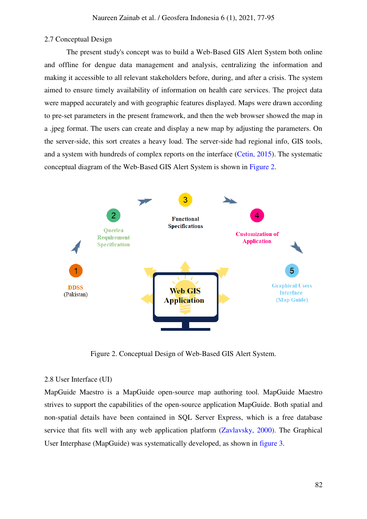# 2.7 Conceptual Design

The present study's concept was to build a Web-Based GIS Alert System both online and offline for dengue data management and analysis, centralizing the information and making it accessible to all relevant stakeholders before, during, and after a crisis. The system aimed to ensure timely availability of information on health care services. The project data were mapped accurately and with geographic features displayed. Maps were drawn according to pre-set parameters in the present framework, and then the web browser showed the map in a .jpeg format. The users can create and display a new map by adjusting the parameters. On the server-side, this sort creates a heavy load. The server-side had regional info, GIS tools, and a system with hundreds of complex reports on the interface [\(Cetin, 2015\)](#page-16-5). The systematic conceptual diagram of the Web-Based GIS Alert System is shown in [Figure 2.](#page-5-0)



Figure 2. Conceptual Design of Web-Based GIS Alert System.

## <span id="page-5-0"></span>2.8 User Interface (UI)

MapGuide Maestro is a MapGuide open-source map authoring tool. MapGuide Maestro strives to support the capabilities of the open-source application MapGuide. Both spatial and non-spatial details have been contained in SQL Server Express, which is a free database service that fits well with any web application platform [\(Zavlavsky, 2000\)](#page-18-3). The Graphical User Interphase (MapGuide) was systematically developed, as shown in [figure 3](#page-6-0).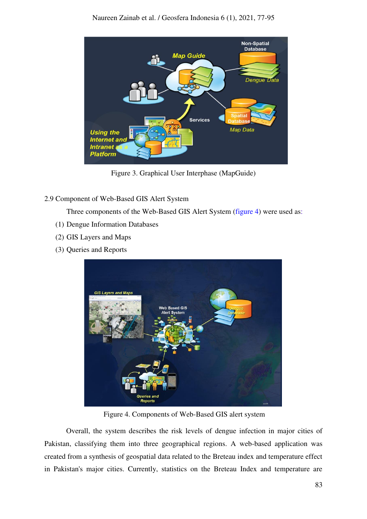

Figure 3. Graphical User Interphase (MapGuide)

<span id="page-6-0"></span>2.9 Component of Web-Based GIS Alert System

Three components of the Web-Based GIS Alert System [\(figure 4\)](#page-6-1) were used as:

- (1) Dengue Information Databases
- (2) GIS Layers and Maps
- <span id="page-6-1"></span>(3) Queries and Reports



Figure 4. Components of Web-Based GIS alert system

Overall, the system describes the risk levels of dengue infection in major cities of Pakistan, classifying them into three geographical regions. A web-based application was created from a synthesis of geospatial data related to the Breteau index and temperature effect in Pakistan's major cities. Currently, statistics on the Breteau Index and temperature are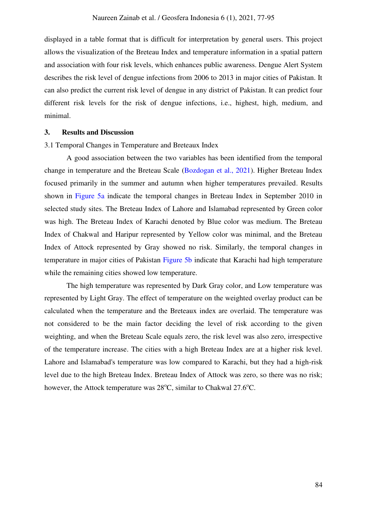displayed in a table format that is difficult for interpretation by general users. This project allows the visualization of the Breteau Index and temperature information in a spatial pattern and association with four risk levels, which enhances public awareness. Dengue Alert System describes the risk level of dengue infections from 2006 to 2013 in major cities of Pakistan. It can also predict the current risk level of dengue in any district of Pakistan. It can predict four different risk levels for the risk of dengue infections, i.e., highest, high, medium, and minimal.

#### **3. Results and Discussion**

3.1 Temporal Changes in Temperature and Breteaux Index

A good association between the two variables has been identified from the temporal change in temperature and the Breteau Scale [\(Bozdogan et al., 2021\)](#page-16-6). Higher Breteau Index focused primarily in the summer and autumn when higher temperatures prevailed. Results shown in [Figure 5a](#page-8-0) indicate the temporal changes in Breteau Index in September 2010 in selected study sites. The Breteau Index of Lahore and Islamabad represented by Green color was high. The Breteau Index of Karachi denoted by Blue color was medium. The Breteau Index of Chakwal and Haripur represented by Yellow color was minimal, and the Breteau Index of Attock represented by Gray showed no risk. Similarly, the temporal changes in temperature in major cities of Pakistan [Figure 5b](#page-8-0) indicate that Karachi had high temperature while the remaining cities showed low temperature.

The high temperature was represented by Dark Gray color, and Low temperature was represented by Light Gray. The effect of temperature on the weighted overlay product can be calculated when the temperature and the Breteaux index are overlaid. The temperature was not considered to be the main factor deciding the level of risk according to the given weighting, and when the Breteau Scale equals zero, the risk level was also zero, irrespective of the temperature increase. The cities with a high Breteau Index are at a higher risk level. Lahore and Islamabad's temperature was low compared to Karachi, but they had a high-risk level due to the high Breteau Index. Breteau Index of Attock was zero, so there was no risk; however, the Attock temperature was 28°C, similar to Chakwal 27.6°C.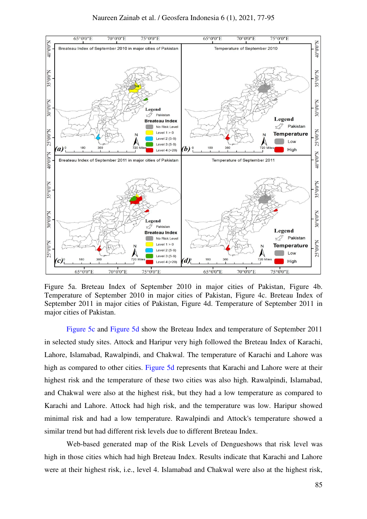

<span id="page-8-0"></span>Figure 5a. Breteau Index of September 2010 in major cities of Pakistan, Figure 4b. Temperature of September 2010 in major cities of Pakistan, Figure 4c. Breteau Index of September 2011 in major cities of Pakistan, Figure 4d. Temperature of September 2011 in major cities of Pakistan.

[Figure 5c](#page-8-0) and [Figure 5d](#page-8-0) show the Breteau Index and temperature of September 2011 in selected study sites. Attock and Haripur very high followed the Breteau Index of Karachi, Lahore, Islamabad, Rawalpindi, and Chakwal. The temperature of Karachi and Lahore was high as compared to other cities. [Figure 5d](#page-8-0) represents that Karachi and Lahore were at their highest risk and the temperature of these two cities was also high. Rawalpindi, Islamabad, and Chakwal were also at the highest risk, but they had a low temperature as compared to Karachi and Lahore. Attock had high risk, and the temperature was low. Haripur showed minimal risk and had a low temperature. Rawalpindi and Attock's temperature showed a similar trend but had different risk levels due to different Breteau Index.

Web-based generated map of the Risk Levels of Dengueshows that risk level was high in those cities which had high Breteau Index. Results indicate that Karachi and Lahore were at their highest risk, i.e., level 4. Islamabad and Chakwal were also at the highest risk,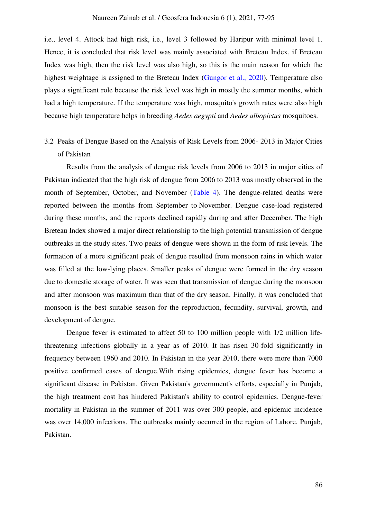i.e., level 4. Attock had high risk, i.e., level 3 followed by Haripur with minimal level 1. Hence, it is concluded that risk level was mainly associated with Breteau Index, if Breteau Index was high, then the risk level was also high, so this is the main reason for which the highest weightage is assigned to the Breteau Index [\(Gungor et al., 2020\)](#page-17-9). Temperature also plays a significant role because the risk level was high in mostly the summer months, which had a high temperature. If the temperature was high, mosquito's growth rates were also high because high temperature helps in breeding *Aedes aegypti* and *Aedes albopictus* mosquitoes.

3.2 Peaks of Dengue Based on the Analysis of Risk Levels from 2006- 2013 in Major Cities of Pakistan

Results from the analysis of dengue risk levels from 2006 to 2013 in major cities of Pakistan indicated that the high risk of dengue from 2006 to 2013 was mostly observed in the month of September, October, and November [\(Table 4\)](#page-10-0). The dengue-related deaths were reported between the months from September to November. Dengue case-load registered during these months, and the reports declined rapidly during and after December. The high Breteau Index showed a major direct relationship to the high potential transmission of dengue outbreaks in the study sites. Two peaks of dengue were shown in the form of risk levels. The formation of a more significant peak of dengue resulted from monsoon rains in which water was filled at the low-lying places. Smaller peaks of dengue were formed in the dry season due to domestic storage of water. It was seen that transmission of dengue during the monsoon and after monsoon was maximum than that of the dry season. Finally, it was concluded that monsoon is the best suitable season for the reproduction, fecundity, survival, growth, and development of dengue.

Dengue fever is estimated to affect 50 to 100 million people with 1/2 million lifethreatening infections globally in a year as of 2010. It has risen 30-fold significantly in frequency between 1960 and 2010. In Pakistan in the year 2010, there were more than 7000 positive confirmed cases of dengue.With rising epidemics, dengue fever has become a significant disease in Pakistan. Given Pakistan's government's efforts, especially in Punjab, the high treatment cost has hindered Pakistan's ability to control epidemics. Dengue-fever mortality in Pakistan in the summer of 2011 was over 300 people, and epidemic incidence was over 14,000 infections. The outbreaks mainly occurred in the region of Lahore, Punjab, Pakistan.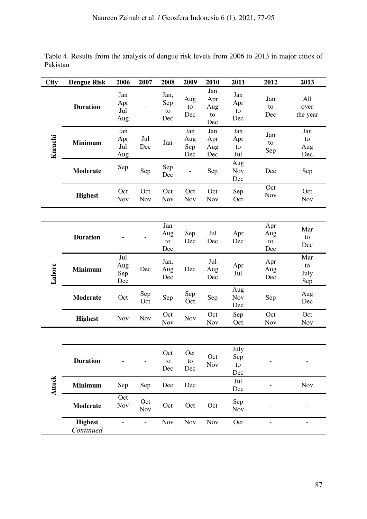<span id="page-10-0"></span>Table 4. Results from the analysis of dengue risk levels from 2006 to 2013 in major cities of Pakistan

| <b>City</b>   | <b>Dengue Risk</b>          | 2006                     | 2007              | 2008                     | 2009                     | 2010                                   | 2011                     | 2012                    | 2013                     |
|---------------|-----------------------------|--------------------------|-------------------|--------------------------|--------------------------|----------------------------------------|--------------------------|-------------------------|--------------------------|
| Karachi       | <b>Duration</b>             | Jan<br>Apr<br>Jul<br>Aug |                   | Jan,<br>Sep<br>to<br>Dec | Aug<br>to<br>Dec         | Jan<br>Apr<br>Aug<br>${\rm to}$<br>Dec | Jan<br>Apr<br>to<br>Dec  | Jan<br>to<br>Dec        | All<br>over<br>the year  |
|               | <b>Minimum</b>              | Jan<br>Apr<br>Jul<br>Aug | Jul<br>Dec        | Jan                      | Jan<br>Aug<br>Sep<br>Dec | Jan<br>Apr<br>Aug<br>Dec               | Jan<br>Apr<br>to<br>Jul  | Jan<br>to<br>Sep        | Jan<br>to<br>Aug<br>Dec  |
|               | <b>Moderate</b>             | Sep                      | Sep               | Sep<br>Dec               |                          | Sep                                    | Aug<br>Nov<br>Dec        | Dec                     | Sep                      |
|               | <b>Highest</b>              | Oct<br>Nov               | Oct<br>Nov        | Oct<br><b>Nov</b>        | Oct<br>Nov               | Oct<br>Nov                             | Sep<br>Oct               | Oct<br>Nov              | Oct<br>Nov               |
|               |                             |                          |                   |                          |                          |                                        |                          |                         |                          |
| Lahore        | <b>Duration</b>             |                          |                   | Jan<br>Aug<br>to<br>Dec  | Sep<br>Dec               | Jul<br>Dec                             | Apr<br>Dec               | Apr<br>Aug<br>to<br>Dec | Mar<br>to<br>Dec         |
|               | <b>Minimum</b>              | Jul<br>Aug<br>Sep<br>Dec | Dec               | Jan,<br>Aug<br>Dec       | Dec                      | Jul<br>Aug<br>Dec                      | Apr<br>Jul               | Apr<br>Aug<br>Dec       | Mar<br>to<br>July<br>Sep |
|               | <b>Moderate</b>             | Oct                      | Sep<br>Oct        | Sep                      | Sep<br>Oct               | Sep                                    | Aug<br>Nov<br>Dec        | Sep                     | Aug<br>Dec               |
|               | <b>Highest</b>              | Nov                      | <b>Nov</b>        | Oct<br>Nov               | Nov                      | Oct<br>Nov                             | Sep<br>Oct               | Oct<br><b>Nov</b>       | Oct<br><b>Nov</b>        |
|               |                             |                          |                   |                          |                          |                                        |                          |                         |                          |
| <b>Attock</b> | <b>Duration</b>             |                          |                   | Oct<br>to<br>Dec         | Oct<br>to<br>Dec         | Oct<br>Nov                             | July<br>Sep<br>to<br>Dec |                         |                          |
|               | <b>Minimum</b>              | Sep                      | Sep               | Dec                      | Dec                      |                                        | Jul<br>Dec               |                         | Nov                      |
|               | Moderate                    | Oct<br>Nov               | Oct<br><b>Nov</b> | Oct                      | Oct                      | Oct                                    | Sep<br>Nov               |                         |                          |
|               | <b>Highest</b><br>Continued |                          |                   | <b>Nov</b>               | Nov                      | Nov                                    | Oct                      |                         |                          |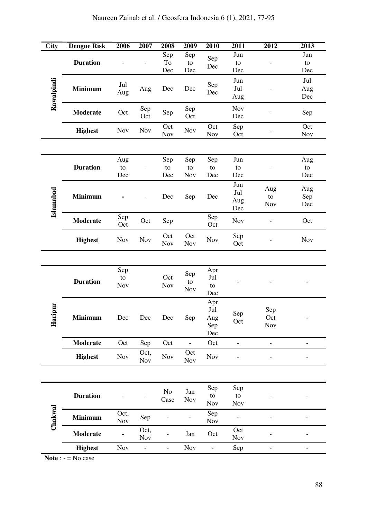# Naureen Zainab et al. / Geosfera Indonesia 6 (1), 2021, 77-95

| <b>City</b>  | <b>Dengue Risk</b> | 2006                     | 2007                     | 2008                     | 2009                     | 2010                            | 2011                     | 2012                     | $\overline{2013}$        |
|--------------|--------------------|--------------------------|--------------------------|--------------------------|--------------------------|---------------------------------|--------------------------|--------------------------|--------------------------|
| Rawalpindi   | <b>Duration</b>    |                          |                          | Sep<br>To<br>Dec         | Sep<br>${\rm to}$<br>Dec | Sep<br>Dec                      | Jun<br>to<br>Dec         |                          | Jun<br>to<br>Dec         |
|              | <b>Minimum</b>     | Jul<br>Aug               | Aug                      | Dec                      | Dec                      | Sep<br>Dec                      | Jun<br>Jul<br>Aug        |                          | Jul<br>Aug<br>Dec        |
|              | <b>Moderate</b>    | Oct                      | Sep<br>Oct               | ${\rm Sep}$              | Sep<br>Oct               |                                 | Nov<br>Dec               |                          | Sep                      |
|              | <b>Highest</b>     | <b>Nov</b>               | Nov                      | Oct<br><b>Nov</b>        | Nov                      | Oct<br>Nov                      | Sep<br>Oct               |                          | Oct<br>Nov               |
|              |                    |                          |                          |                          |                          |                                 |                          |                          |                          |
|              | <b>Duration</b>    | Aug<br>${\rm to}$<br>Dec |                          | Sep<br>to<br>Dec         | Sep<br>${\rm to}$<br>Nov | Sep<br>to<br>Dec                | Jun<br>to<br>Dec         |                          | Aug<br>to<br>Dec         |
| Islamabad    | <b>Minimum</b>     |                          |                          | Dec                      | Sep                      | Dec                             | Jun<br>Jul<br>Aug<br>Dec | Aug<br>${\rm to}$<br>Nov | Aug<br>Sep<br>Dec        |
|              | <b>Moderate</b>    | Sep<br>Oct               | Oct                      | Sep                      |                          | Sep<br>Oct                      | Nov                      |                          | Oct                      |
|              | <b>Highest</b>     | Nov                      | Nov                      | Oct<br>Nov               | Oct<br>Nov               | Nov                             | Sep<br>Oct               |                          | Nov                      |
|              |                    |                          |                          |                          |                          |                                 |                          |                          |                          |
|              | <b>Duration</b>    | Sep<br>to<br>Nov         |                          | Oct<br>Nov               | Sep<br>to<br>Nov         | Apr<br>Jul<br>${\rm to}$<br>Dec |                          |                          |                          |
| ipur<br>Hari | <b>Minimum</b>     | Dec                      | Dec                      | Dec                      | Sep                      | Apr<br>Jul<br>Aug<br>Sep<br>Dec | $\mbox{\rm Sep}$<br>Oct  | Sep<br>Oct<br>Nov        | -                        |
|              | <b>Moderate</b>    | Oct                      | Sep                      | Oct                      | $\frac{1}{2}$            | Oct                             | $\blacksquare$           | $\overline{\phantom{0}}$ | $\overline{\phantom{a}}$ |
|              | <b>Highest</b>     | <b>Nov</b>               | Oct,<br><b>Nov</b>       | $\operatorname{Nov}$     | Oct<br><b>Nov</b>        | Nov                             |                          |                          |                          |
|              |                    |                          |                          |                          |                          |                                 |                          |                          |                          |
|              | <b>Duration</b>    |                          |                          | $\rm No$<br>Case         | Jan<br>Nov               | Sep<br>to<br>Nov                | Sep<br>to<br>Nov         |                          |                          |
| Chakwal      | Minimum            | Oct,<br><b>Nov</b>       | Sep                      |                          |                          | Sep<br><b>Nov</b>               |                          |                          |                          |
|              | <b>Moderate</b>    |                          | Oct,<br><b>Nov</b>       |                          | Jan                      | Oct                             | Oct<br>Nov               |                          |                          |
|              | <b>Highest</b>     | Nov                      | $\overline{\phantom{0}}$ | $\overline{\phantom{0}}$ | Nov                      | $\overline{\phantom{a}}$        | Sep                      |                          |                          |

**Note** : - = No case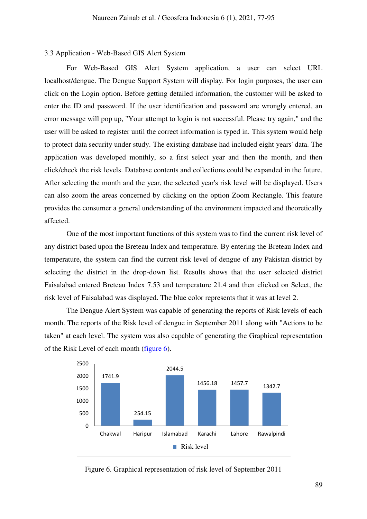#### 3.3 Application - Web-Based GIS Alert System

For Web-Based GIS Alert System application, a user can select URL localhost/dengue. The Dengue Support System will display. For login purposes, the user can click on the Login option. Before getting detailed information, the customer will be asked to enter the ID and password. If the user identification and password are wrongly entered, an error message will pop up, "Your attempt to login is not successful. Please try again," and the user will be asked to register until the correct information is typed in. This system would help to protect data security under study. The existing database had included eight years' data. The application was developed monthly, so a first select year and then the month, and then click/check the risk levels. Database contents and collections could be expanded in the future. After selecting the month and the year, the selected year's risk level will be displayed. Users can also zoom the areas concerned by clicking on the option Zoom Rectangle. This feature provides the consumer a general understanding of the environment impacted and theoretically affected.

One of the most important functions of this system was to find the current risk level of any district based upon the Breteau Index and temperature. By entering the Breteau Index and temperature, the system can find the current risk level of dengue of any Pakistan district by selecting the district in the drop-down list. Results shows that the user selected district Faisalabad entered Breteau Index 7.53 and temperature 21.4 and then clicked on Select, the risk level of Faisalabad was displayed. The blue color represents that it was at level 2.

The Dengue Alert System was capable of generating the reports of Risk levels of each month. The reports of the Risk level of dengue in September 2011 along with "Actions to be taken" at each level. The system was also capable of generating the Graphical representation of the Risk Level of each month [\(figure 6\)](#page-12-0).



<span id="page-12-0"></span>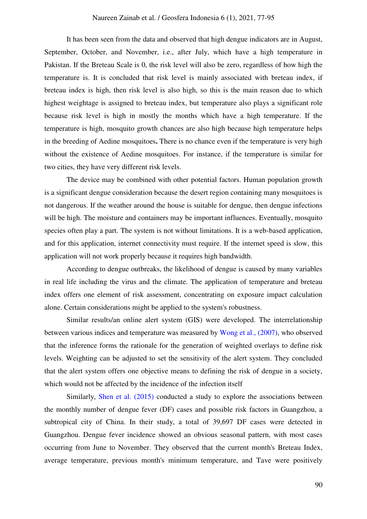#### Naureen Zainab et al. / Geosfera Indonesia 6 (1), 2021, 77-95

It has been seen from the data and observed that high dengue indicators are in August, September, October, and November, i.e., after July, which have a high temperature in Pakistan. If the Breteau Scale is 0, the risk level will also be zero, regardless of how high the temperature is. It is concluded that risk level is mainly associated with breteau index, if breteau index is high, then risk level is also high, so this is the main reason due to which highest weightage is assigned to breteau index, but temperature also plays a significant role because risk level is high in mostly the months which have a high temperature. If the temperature is high, mosquito growth chances are also high because high temperature helps in the breeding of Aedine mosquitoes**.** There is no chance even if the temperature is very high without the existence of Aedine mosquitoes. For instance, if the temperature is similar for two cities, they have very different risk levels.

The device may be combined with other potential factors. Human population growth is a significant dengue consideration because the desert region containing many mosquitoes is not dangerous. If the weather around the house is suitable for dengue, then dengue infections will be high. The moisture and containers may be important influences. Eventually, mosquito species often play a part. The system is not without limitations. It is a web-based application, and for this application, internet connectivity must require. If the internet speed is slow, this application will not work properly because it requires high bandwidth.

According to dengue outbreaks, the likelihood of dengue is caused by many variables in real life including the virus and the climate. The application of temperature and breteau index offers one element of risk assessment, concentrating on exposure impact calculation alone. Certain considerations might be applied to the system's robustness.

Similar results/an online alert system (GIS) were developed. The interrelationship between various indices and temperature was measured by [Wong et al., \(2007\),](#page-18-4) who observed that the inference forms the rationale for the generation of weighted overlays to define risk levels. Weighting can be adjusted to set the sensitivity of the alert system. They concluded that the alert system offers one objective means to defining the risk of dengue in a society, which would not be affected by the incidence of the infection itself

Similarly, [Shen et al. \(2015\)](#page-17-10) conducted a study to explore the associations between the monthly number of dengue fever (DF) cases and possible risk factors in Guangzhou, a subtropical city of China. In their study, a total of 39,697 DF cases were detected in Guangzhou. Dengue fever incidence showed an obvious seasonal pattern, with most cases occurring from June to November. They observed that the current month's Breteau Index, average temperature, previous month's minimum temperature, and Tave were positively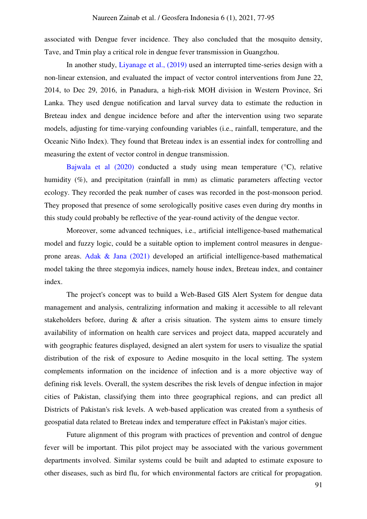associated with Dengue fever incidence. They also concluded that the mosquito density, Tave, and Tmin play a critical role in dengue fever transmission in Guangzhou.

In another study, [Liyanage et al., \(2019\)](#page-17-11) used an interrupted time-series design with a non-linear extension, and evaluated the impact of vector control interventions from June 22, 2014, to Dec 29, 2016, in Panadura, a high-risk MOH division in Western Province, Sri Lanka. They used dengue notification and larval survey data to estimate the reduction in Breteau index and dengue incidence before and after the intervention using two separate models, adjusting for time-varying confounding variables (i.e., rainfall, temperature, and the Oceanic Niño Index). They found that Breteau index is an essential index for controlling and measuring the extent of vector control in dengue transmission.

[Bajwala et al \(2020\)](#page-16-7) conducted a study using mean temperature (°C), relative humidity (%), and precipitation (rainfall in mm) as climatic parameters affecting vector ecology. They recorded the peak number of cases was recorded in the post-monsoon period. They proposed that presence of some serologically positive cases even during dry months in this study could probably be reflective of the year-round activity of the dengue vector.

Moreover, some advanced techniques, i.e., artificial intelligence-based mathematical model and fuzzy logic, could be a suitable option to implement control measures in dengueprone areas. [Adak & Jana \(2021\)](#page-16-8) developed an artificial intelligence-based mathematical model taking the three stegomyia indices, namely house index, Breteau index, and container index.

The project's concept was to build a Web-Based GIS Alert System for dengue data management and analysis, centralizing information and making it accessible to all relevant stakeholders before, during & after a crisis situation. The system aims to ensure timely availability of information on health care services and project data, mapped accurately and with geographic features displayed, designed an alert system for users to visualize the spatial distribution of the risk of exposure to Aedine mosquito in the local setting. The system complements information on the incidence of infection and is a more objective way of defining risk levels. Overall, the system describes the risk levels of dengue infection in major cities of Pakistan, classifying them into three geographical regions, and can predict all Districts of Pakistan's risk levels. A web-based application was created from a synthesis of geospatial data related to Breteau index and temperature effect in Pakistan's major cities.

Future alignment of this program with practices of prevention and control of dengue fever will be important. This pilot project may be associated with the various government departments involved. Similar systems could be built and adapted to estimate exposure to other diseases, such as bird flu, for which environmental factors are critical for propagation.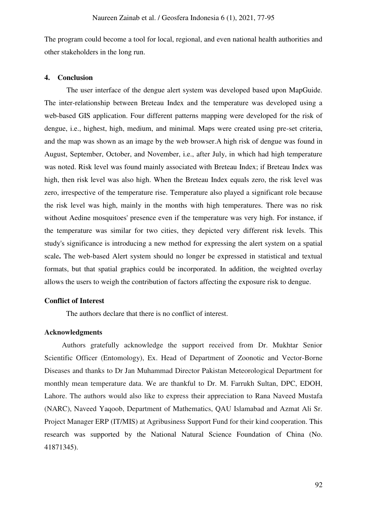The program could become a tool for local, regional, and even national health authorities and other stakeholders in the long run.

#### **4. Conclusion**

The user interface of the dengue alert system was developed based upon MapGuide. The inter-relationship between Breteau Index and the temperature was developed using a web-based GIS application. Four different patterns mapping were developed for the risk of dengue, i.e., highest, high, medium, and minimal. Maps were created using pre-set criteria, and the map was shown as an image by the web browser.A high risk of dengue was found in August, September, October, and November, i.e., after July, in which had high temperature was noted. Risk level was found mainly associated with Breteau Index; if Breteau Index was high, then risk level was also high. When the Breteau Index equals zero, the risk level was zero, irrespective of the temperature rise. Temperature also played a significant role because the risk level was high, mainly in the months with high temperatures. There was no risk without Aedine mosquitoes' presence even if the temperature was very high. For instance, if the temperature was similar for two cities, they depicted very different risk levels. This study's significance is introducing a new method for expressing the alert system on a spatial scale**.** The web-based Alert system should no longer be expressed in statistical and textual formats, but that spatial graphics could be incorporated. In addition, the weighted overlay allows the users to weigh the contribution of factors affecting the exposure risk to dengue.

## **Conflict of Interest**

The authors declare that there is no conflict of interest.

#### **Acknowledgments**

Authors gratefully acknowledge the support received from Dr. Mukhtar Senior Scientific Officer (Entomology), Ex. Head of Department of Zoonotic and Vector-Borne Diseases and thanks to Dr Jan Muhammad Director Pakistan Meteorological Department for monthly mean temperature data. We are thankful to Dr. M. Farrukh Sultan, DPC, EDOH, Lahore. The authors would also like to express their appreciation to Rana Naveed Mustafa (NARC), Naveed Yaqoob, Department of Mathematics, QAU Islamabad and Azmat Ali Sr. Project Manager ERP (IT/MIS) at Agribusiness Support Fund for their kind cooperation. This research was supported by the National Natural Science Foundation of China (No. 41871345).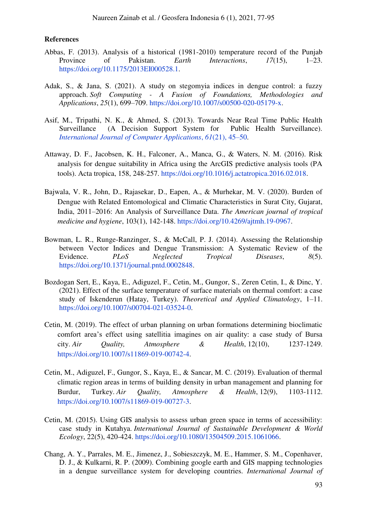#### **References**

- <span id="page-16-4"></span>Abbas, F. (2013). Analysis of a historical (1981-2010) temperature record of the Punjab Province of Pakistan. *Earth Interactions*, *17*(15), 1–23. https://doi.org/10.1175/2013EI000528.1.
- <span id="page-16-8"></span>Adak, S., & Jana, S. (2021). A study on stegomyia indices in dengue control: a fuzzy approach. *Soft Computing - A Fusion of Foundations, Methodologies and Applications*, *25*(1), 699–709. https://doi.org/10.1007/s00500-020-05179-x.
- <span id="page-16-1"></span>Asif, M., Tripathi, N. K., & Ahmed, S. (2013). Towards Near Real Time Public Health Surveillance (A Decision Support System for Public Health Surveillance). *[International Journal of Computer Applications](https://www.ijcaonline.org/archives/volume61/number21/10216-5083)*, *61*(21), 45–50.
- <span id="page-16-2"></span>Attaway, D. F., Jacobsen, K. H., Falconer, A., Manca, G., & Waters, N. M. (2016). Risk analysis for dengue suitability in Africa using the ArcGIS predictive analysis tools (PA tools). Acta tropica, 158, 248-257. https://doi.org/10.1016/j.actatropica.2016.02.018.
- <span id="page-16-7"></span>Bajwala, V. R., John, D., Rajasekar, D., Eapen, A., & Murhekar, M. V. (2020). Burden of Dengue with Related Entomological and Climatic Characteristics in Surat City, Gujarat, India, 2011–2016: An Analysis of Surveillance Data. *The American journal of tropical medicine and hygiene*, 103(1), 142-148. https://doi.org/10.4269/ajtmh.19-0967.
- <span id="page-16-3"></span>Bowman, L. R., Runge-Ranzinger, S., & McCall, P. J. (2014). Assessing the Relationship between Vector Indices and Dengue Transmission: A Systematic Review of the Evidence. *PLoS Neglected Tropical Diseases*, *8*(5). https://doi.org/10.1371/journal.pntd.0002848.
- <span id="page-16-6"></span>Bozdogan Sert, E., Kaya, E., Adiguzel, F., Cetin, M., Gungor, S., Zeren Cetin, I., & Dinc, Y. (2021). Effect of the surface temperature of surface materials on thermal comfort: a case study of Iskenderun (Hatay, Turkey). *Theoretical and Applied Climatology*, 1–11. https://doi.org/10.1007/s00704-021-03524-0.
- Cetin, M. (2019). The effect of urban planning on urban formations determining bioclimatic comfort area's effect using satellitia imagines on air quality: a case study of Bursa city. *Air Quality, Atmosphere & Health*, 12(10), 1237-1249. https://doi.org/10.1007/s11869-019-00742-4.
- Cetin, M., Adiguzel, F., Gungor, S., Kaya, E., & Sancar, M. C. (2019). Evaluation of thermal climatic region areas in terms of building density in urban management and planning for Burdur, Turkey. *Air Quality, Atmosphere & Health*, 12(9), 1103-1112. https://doi.org/10.1007/s11869-019-00727-3.
- <span id="page-16-5"></span>Cetin, M. (2015). Using GIS analysis to assess urban green space in terms of accessibility: case study in Kutahya. *International Journal of Sustainable Development & World Ecology*, 22(5), 420-424. https://doi.org/10.1080/13504509.2015.1061066.
- <span id="page-16-0"></span>Chang, A. Y., Parrales, M. E., Jimenez, J., Sobieszczyk, M. E., Hammer, S. M., Copenhaver, D. J., & Kulkarni, R. P. (2009). Combining google earth and GIS mapping technologies in a dengue surveillance system for developing countries. *International Journal of*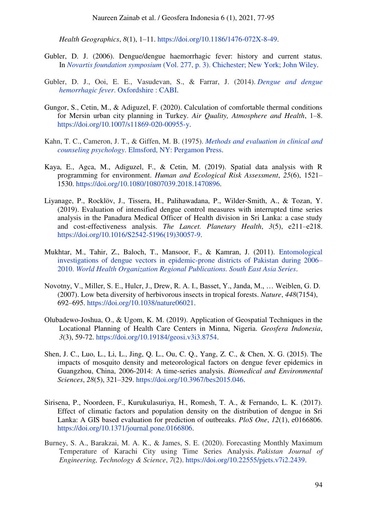*Health Geographics*, *8*(1), 1–11. https://doi.org/10.1186/1476-072X-8-49.

- <span id="page-17-0"></span>Gubler, D. J. (2006). Dengue/dengue haemorrhagic fever: history and current status. In *Novartis foundation symposium* [\(Vol. 277, p. 3\). Chichester; New York; John Wiley.](https://onlinelibrary.wiley.com/doi/book/10.1002/0470058005#page=13)
- <span id="page-17-7"></span>Gubler, D. J., Ooi, E. E., Vasudevan, S., & Farrar, J. (2014). *[Dengue and dengue](https://books.google.co.id/books?hl=id&lr=&id=Tl_YBAAAQBAJ&oi=fnd&pg=PR5&dq=gubler+dengue+2014&ots=CTlAVgEMxI&sig=PoApGUM45GPXtfHkXsJe09KnNJE&redir_esc=y#v=onepage&q=gubler%20dengue%202014&f=false)  hemorrhagic fever*[. Oxfordshire : CABI.](https://books.google.co.id/books?hl=id&lr=&id=Tl_YBAAAQBAJ&oi=fnd&pg=PR5&dq=gubler+dengue+2014&ots=CTlAVgEMxI&sig=PoApGUM45GPXtfHkXsJe09KnNJE&redir_esc=y#v=onepage&q=gubler%20dengue%202014&f=false)
- <span id="page-17-9"></span>Gungor, S., Cetin, M., & Adiguzel, F. (2020). Calculation of comfortable thermal conditions for Mersin urban city planning in Turkey. *Air Quality, Atmosphere and Health*, 1–8. https://doi.org/10.1007/s11869-020-00955-y.
- <span id="page-17-3"></span>Kahn, T. C., Cameron, J. T., & Giffen, M. B. (1975). *[Methods and evaluation in clinical and](https://www.sciencedirect.com/book/9780080178622/methods-and-evaluation-in-clinical-and-counseling-psychology)  counseling psychology*[. Elmsford, NY: Pergamon Press.](https://www.sciencedirect.com/book/9780080178622/methods-and-evaluation-in-clinical-and-counseling-psychology)
- <span id="page-17-6"></span>Kaya, E., Agca, M., Adiguzel, F., & Cetin, M. (2019). Spatial data analysis with R programming for environment. *Human and Ecological Risk Assessment*, *25*(6), 1521– 1530. https://doi.org/10.1080/10807039.2018.1470896.
- <span id="page-17-11"></span>Liyanage, P., Rocklöv, J., Tissera, H., Palihawadana, P., Wilder-Smith, A., & Tozan, Y. (2019). Evaluation of intensified dengue control measures with interrupted time series analysis in the Panadura Medical Officer of Health division in Sri Lanka: a case study and cost-effectiveness analysis. *The Lancet. Planetary Health*, *3*(5), e211–e218. https://doi.org/10.1016/S2542-5196(19)30057-9.
- <span id="page-17-1"></span>Mukhtar, M., Tahir, Z., Baloch, T., Mansoor, F., & Kamran, J. (2011). [Entomological](https://apps.who.int/iris/bitstream/handle/10665/171002/db2011v35p99.pdf;jsessionid=455D9654C6994338D775C931E795E6EF?sequence=1)  [investigations of dengue vectors in epidemic-prone districts of Pakistan during 2006](https://apps.who.int/iris/bitstream/handle/10665/171002/db2011v35p99.pdf;jsessionid=455D9654C6994338D775C931E795E6EF?sequence=1)– 2010. *[World Health Organization Regional Publications. South East Asia Series](https://apps.who.int/iris/bitstream/handle/10665/171002/db2011v35p99.pdf;jsessionid=455D9654C6994338D775C931E795E6EF?sequence=1)*.
- <span id="page-17-8"></span>Novotny, V., Miller, S. E., Hulcr, J., Drew, R. A. I., Basset, Y., Janda, M., … Weiblen, G. D. (2007). Low beta diversity of herbivorous insects in tropical forests. *Nature*, *448*(7154), 692–695. https://doi.org/10.1038/nature06021.
- <span id="page-17-4"></span>Olubadewo-Joshua, O., & Ugom, K. M. (2019). Application of Geospatial Techniques in the Locational Planning of Health Care Centers in Minna, Nigeria. *Geosfera Indonesia*, *3*(3), 59-72. https://doi.org/10.19184/geosi.v3i3.8754.
- <span id="page-17-10"></span>Shen, J. C., Luo, L., Li, L., Jing, Q. L., Ou, C. Q., Yang, Z. C., & Chen, X. G. (2015). The impacts of mosquito density and meteorological factors on dengue fever epidemics in Guangzhou, China, 2006-2014: A time-series analysis. *Biomedical and Environmental Sciences*, *28*(5), 321–329. https://doi.org/10.3967/bes2015.046.
- <span id="page-17-2"></span>Sirisena, P., Noordeen, F., Kurukulasuriya, H., Romesh, T. A., & Fernando, L. K. (2017). Effect of climatic factors and population density on the distribution of dengue in Sri Lanka: A GIS based evaluation for prediction of outbreaks. *PloS One*, *12*(1), e0166806. https://doi.org/10.1371/journal.pone.0166806.
- <span id="page-17-5"></span>Burney, S. A., Barakzai, M. A. K., & James, S. E. (2020). Forecasting Monthly Maximum Temperature of Karachi City using Time Series Analysis. *Pakistan Journal of Engineering, Technology & Science*, *7*(2). https://doi.org/10.22555/pjets.v7i2.2439.